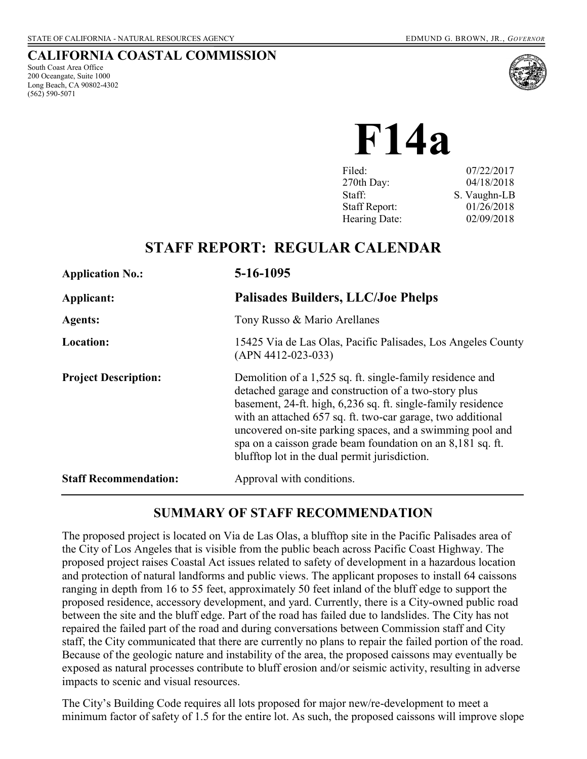### **CALIFORNIA COASTAL COMMISSION**

South Coast Area Office 200 Oceangate, Suite 1000 Long Beach, CA 90802-4302 (562) 590-5071



**F14a** 

| Filed:               | 07/22/2017   |
|----------------------|--------------|
| 270th Day:           | 04/18/2018   |
| Staff:               | S. Vaughn-LB |
| <b>Staff Report:</b> | 01/26/2018   |
| Hearing Date:        | 02/09/2018   |
|                      |              |

## **STAFF REPORT: REGULAR CALENDAR**

| <b>Application No.:</b>      | 5-16-1095                                                                                                                                                                                                                                                                                                                                                                                                                    |
|------------------------------|------------------------------------------------------------------------------------------------------------------------------------------------------------------------------------------------------------------------------------------------------------------------------------------------------------------------------------------------------------------------------------------------------------------------------|
| Applicant:                   | <b>Palisades Builders, LLC/Joe Phelps</b>                                                                                                                                                                                                                                                                                                                                                                                    |
| <b>Agents:</b>               | Tony Russo & Mario Arellanes                                                                                                                                                                                                                                                                                                                                                                                                 |
| Location:                    | 15425 Via de Las Olas, Pacific Palisades, Los Angeles County<br>$(APN 4412-023-033)$                                                                                                                                                                                                                                                                                                                                         |
| <b>Project Description:</b>  | Demolition of a 1,525 sq. ft. single-family residence and<br>detached garage and construction of a two-story plus<br>basement, 24-ft. high, 6,236 sq. ft. single-family residence<br>with an attached 657 sq. ft. two-car garage, two additional<br>uncovered on-site parking spaces, and a swimming pool and<br>spa on a caisson grade beam foundation on an 8,181 sq. ft.<br>blufftop lot in the dual permit jurisdiction. |
| <b>Staff Recommendation:</b> | Approval with conditions.                                                                                                                                                                                                                                                                                                                                                                                                    |

### **SUMMARY OF STAFF RECOMMENDATION**

The proposed project is located on Via de Las Olas, a blufftop site in the Pacific Palisades area of the City of Los Angeles that is visible from the public beach across Pacific Coast Highway. The proposed project raises Coastal Act issues related to safety of development in a hazardous location and protection of natural landforms and public views. The applicant proposes to install 64 caissons ranging in depth from 16 to 55 feet, approximately 50 feet inland of the bluff edge to support the proposed residence, accessory development, and yard. Currently, there is a City-owned public road between the site and the bluff edge. Part of the road has failed due to landslides. The City has not repaired the failed part of the road and during conversations between Commission staff and City staff, the City communicated that there are currently no plans to repair the failed portion of the road. Because of the geologic nature and instability of the area, the proposed caissons may eventually be exposed as natural processes contribute to bluff erosion and/or seismic activity, resulting in adverse impacts to scenic and visual resources.

The City's Building Code requires all lots proposed for major new/re-development to meet a minimum factor of safety of 1.5 for the entire lot. As such, the proposed caissons will improve slope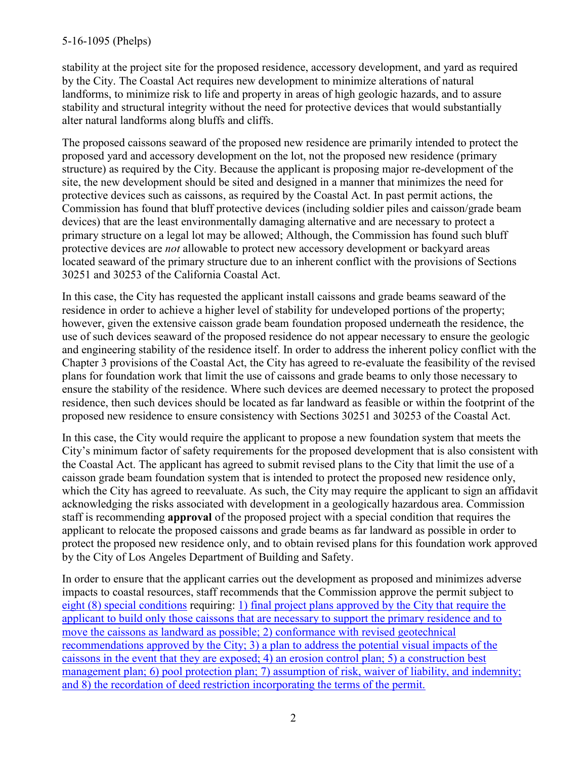### 5-16-1095 (Phelps)

stability at the project site for the proposed residence, accessory development, and yard as required by the City. The Coastal Act requires new development to minimize alterations of natural landforms, to minimize risk to life and property in areas of high geologic hazards, and to assure stability and structural integrity without the need for protective devices that would substantially alter natural landforms along bluffs and cliffs.

The proposed caissons seaward of the proposed new residence are primarily intended to protect the proposed yard and accessory development on the lot, not the proposed new residence (primary structure) as required by the City. Because the applicant is proposing major re-development of the site, the new development should be sited and designed in a manner that minimizes the need for protective devices such as caissons, as required by the Coastal Act. In past permit actions, the Commission has found that bluff protective devices (including soldier piles and caisson/grade beam devices) that are the least environmentally damaging alternative and are necessary to protect a primary structure on a legal lot may be allowed; Although, the Commission has found such bluff protective devices are *not* allowable to protect new accessory development or backyard areas located seaward of the primary structure due to an inherent conflict with the provisions of Sections 30251 and 30253 of the California Coastal Act.

In this case, the City has requested the applicant install caissons and grade beams seaward of the residence in order to achieve a higher level of stability for undeveloped portions of the property; however, given the extensive caisson grade beam foundation proposed underneath the residence, the use of such devices seaward of the proposed residence do not appear necessary to ensure the geologic and engineering stability of the residence itself. In order to address the inherent policy conflict with the Chapter 3 provisions of the Coastal Act, the City has agreed to re-evaluate the feasibility of the revised plans for foundation work that limit the use of caissons and grade beams to only those necessary to ensure the stability of the residence. Where such devices are deemed necessary to protect the proposed residence, then such devices should be located as far landward as feasible or within the footprint of the proposed new residence to ensure consistency with Sections 30251 and 30253 of the Coastal Act.

In this case, the City would require the applicant to propose a new foundation system that meets the City's minimum factor of safety requirements for the proposed development that is also consistent with the Coastal Act. The applicant has agreed to submit revised plans to the City that limit the use of a caisson grade beam foundation system that is intended to protect the proposed new residence only, which the City has agreed to reevaluate. As such, the City may require the applicant to sign an affidavit acknowledging the risks associated with development in a geologically hazardous area. Commission staff is recommending **approval** of the proposed project with a special condition that requires the applicant to relocate the proposed caissons and grade beams as far landward as possible in order to protect the proposed new residence only, and to obtain revised plans for this foundation work approved by the City of Los Angeles Department of Building and Safety.

In order to ensure that the applicant carries out the development as proposed and minimizes adverse impacts to coastal resources, staff recommends that the Commission approve the permit subject to [eight \(8\) special conditions](#page-4-0) requiring: [1\) final project plans approved by the City that require the](#page-4-0)  [applicant to build only those caissons that are necessary to support the primary residence and to](#page-4-0)  [move the caissons as landward as possible; 2\) conformance with revised geotechnical](#page-4-0)  [recommendations approved by the City; 3\) a plan to address the potential visual impacts of the](#page-4-0)  [caissons in the event that they are exposed; 4\) an erosion control plan; 5\) a construction best](#page-4-0)  management plan; 6) pool protection plan; 7) assumption of risk, waiver of liability, and indemnity; [and 8\) the recordation of deed restriction incorporating the terms of the permit.](#page-4-0)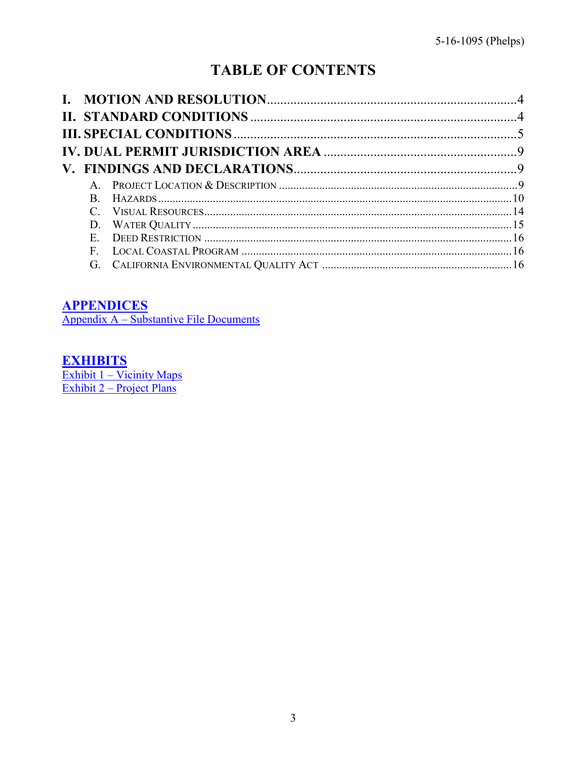# **TABLE OF CONTENTS**

| $\mathsf{A}$ |  |
|--------------|--|
| B.           |  |
|              |  |
|              |  |
| $E_{\perp}$  |  |
| F            |  |
| G.           |  |

### **APPENDICES**

Appendix A – Substantive File Documents

## **EXHIBITS**

Exhibit 1 – Vicinity Maps<br>Exhibit 2 – Project Plans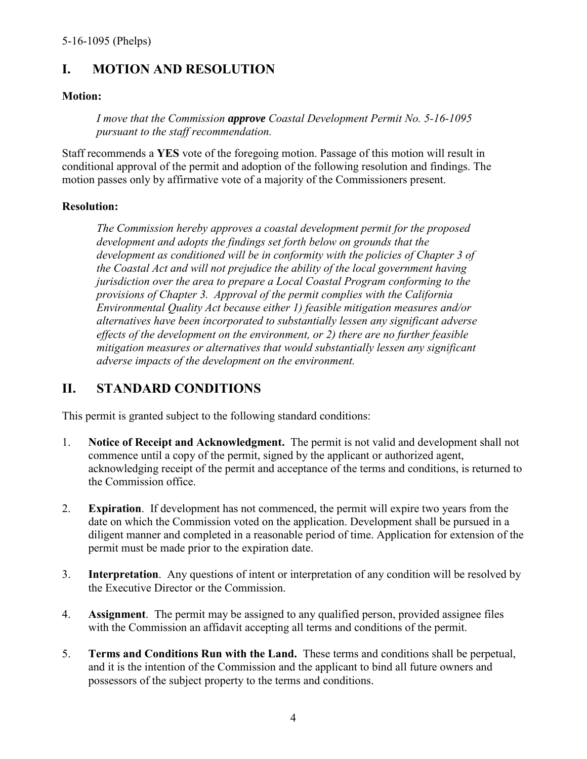## <span id="page-3-0"></span>**I. MOTION AND RESOLUTION**

### **Motion:**

*I move that the Commission approve Coastal Development Permit No. 5-16-1095 pursuant to the staff recommendation.* 

Staff recommends a **YES** vote of the foregoing motion. Passage of this motion will result in conditional approval of the permit and adoption of the following resolution and findings. The motion passes only by affirmative vote of a majority of the Commissioners present.

### **Resolution:**

*The Commission hereby approves a coastal development permit for the proposed development and adopts the findings set forth below on grounds that the development as conditioned will be in conformity with the policies of Chapter 3 of the Coastal Act and will not prejudice the ability of the local government having jurisdiction over the area to prepare a Local Coastal Program conforming to the provisions of Chapter 3. Approval of the permit complies with the California Environmental Quality Act because either 1) feasible mitigation measures and/or alternatives have been incorporated to substantially lessen any significant adverse effects of the development on the environment, or 2) there are no further feasible mitigation measures or alternatives that would substantially lessen any significant adverse impacts of the development on the environment.* 

### <span id="page-3-1"></span>**II. STANDARD CONDITIONS**

This permit is granted subject to the following standard conditions:

- 1. **Notice of Receipt and Acknowledgment.** The permit is not valid and development shall not commence until a copy of the permit, signed by the applicant or authorized agent, acknowledging receipt of the permit and acceptance of the terms and conditions, is returned to the Commission office.
- 2. **Expiration**. If development has not commenced, the permit will expire two years from the date on which the Commission voted on the application. Development shall be pursued in a diligent manner and completed in a reasonable period of time. Application for extension of the permit must be made prior to the expiration date.
- 3. **Interpretation**. Any questions of intent or interpretation of any condition will be resolved by the Executive Director or the Commission.
- 4. **Assignment**. The permit may be assigned to any qualified person, provided assignee files with the Commission an affidavit accepting all terms and conditions of the permit.
- 5. **Terms and Conditions Run with the Land.** These terms and conditions shall be perpetual, and it is the intention of the Commission and the applicant to bind all future owners and possessors of the subject property to the terms and conditions.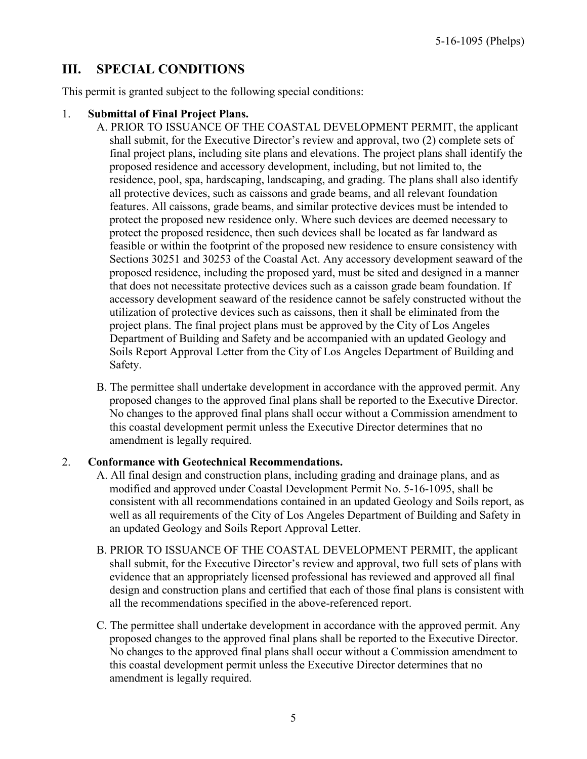## <span id="page-4-0"></span>**III. SPECIAL CONDITIONS**

This permit is granted subject to the following special conditions:

### 1. **Submittal of Final Project Plans.**

- A. PRIOR TO ISSUANCE OF THE COASTAL DEVELOPMENT PERMIT, the applicant shall submit, for the Executive Director's review and approval, two (2) complete sets of final project plans, including site plans and elevations. The project plans shall identify the proposed residence and accessory development, including, but not limited to, the residence, pool, spa, hardscaping, landscaping, and grading. The plans shall also identify all protective devices, such as caissons and grade beams, and all relevant foundation features. All caissons, grade beams, and similar protective devices must be intended to protect the proposed new residence only. Where such devices are deemed necessary to protect the proposed residence, then such devices shall be located as far landward as feasible or within the footprint of the proposed new residence to ensure consistency with Sections 30251 and 30253 of the Coastal Act. Any accessory development seaward of the proposed residence, including the proposed yard, must be sited and designed in a manner that does not necessitate protective devices such as a caisson grade beam foundation. If accessory development seaward of the residence cannot be safely constructed without the utilization of protective devices such as caissons, then it shall be eliminated from the project plans. The final project plans must be approved by the City of Los Angeles Department of Building and Safety and be accompanied with an updated Geology and Soils Report Approval Letter from the City of Los Angeles Department of Building and Safety.
- B. The permittee shall undertake development in accordance with the approved permit. Any proposed changes to the approved final plans shall be reported to the Executive Director. No changes to the approved final plans shall occur without a Commission amendment to this coastal development permit unless the Executive Director determines that no amendment is legally required.

### 2. **Conformance with Geotechnical Recommendations.**

- A. All final design and construction plans, including grading and drainage plans, and as modified and approved under Coastal Development Permit No. 5-16-1095, shall be consistent with all recommendations contained in an updated Geology and Soils report, as well as all requirements of the City of Los Angeles Department of Building and Safety in an updated Geology and Soils Report Approval Letter*.*
- B. PRIOR TO ISSUANCE OF THE COASTAL DEVELOPMENT PERMIT, the applicant shall submit, for the Executive Director's review and approval, two full sets of plans with evidence that an appropriately licensed professional has reviewed and approved all final design and construction plans and certified that each of those final plans is consistent with all the recommendations specified in the above-referenced report.
- C. The permittee shall undertake development in accordance with the approved permit. Any proposed changes to the approved final plans shall be reported to the Executive Director. No changes to the approved final plans shall occur without a Commission amendment to this coastal development permit unless the Executive Director determines that no amendment is legally required.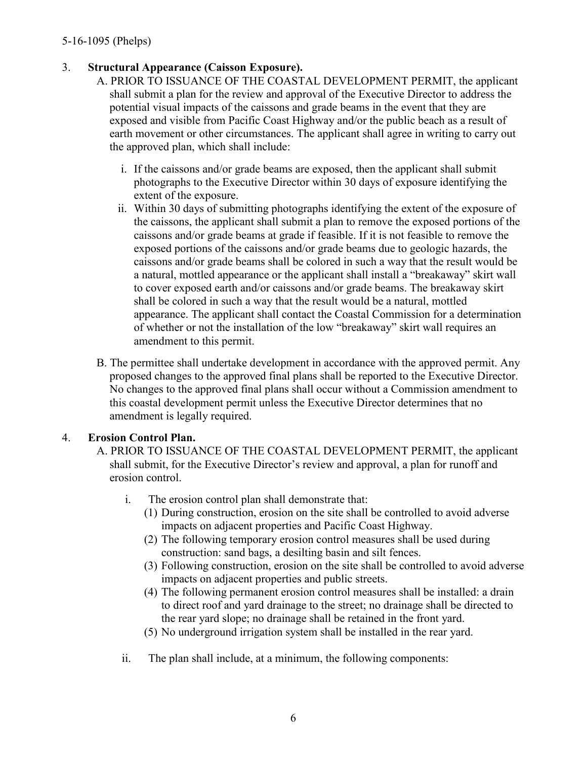### 3. **Structural Appearance (Caisson Exposure).**

A. PRIOR TO ISSUANCE OF THE COASTAL DEVELOPMENT PERMIT, the applicant shall submit a plan for the review and approval of the Executive Director to address the potential visual impacts of the caissons and grade beams in the event that they are exposed and visible from Pacific Coast Highway and/or the public beach as a result of earth movement or other circumstances. The applicant shall agree in writing to carry out the approved plan, which shall include:

- i. If the caissons and/or grade beams are exposed, then the applicant shall submit photographs to the Executive Director within 30 days of exposure identifying the extent of the exposure.
- ii. Within 30 days of submitting photographs identifying the extent of the exposure of the caissons, the applicant shall submit a plan to remove the exposed portions of the caissons and/or grade beams at grade if feasible. If it is not feasible to remove the exposed portions of the caissons and/or grade beams due to geologic hazards, the caissons and/or grade beams shall be colored in such a way that the result would be a natural, mottled appearance or the applicant shall install a "breakaway" skirt wall to cover exposed earth and/or caissons and/or grade beams. The breakaway skirt shall be colored in such a way that the result would be a natural, mottled appearance. The applicant shall contact the Coastal Commission for a determination of whether or not the installation of the low "breakaway" skirt wall requires an amendment to this permit.
- B. The permittee shall undertake development in accordance with the approved permit. Any proposed changes to the approved final plans shall be reported to the Executive Director. No changes to the approved final plans shall occur without a Commission amendment to this coastal development permit unless the Executive Director determines that no amendment is legally required.

### 4. **Erosion Control Plan.**

- A. PRIOR TO ISSUANCE OF THE COASTAL DEVELOPMENT PERMIT, the applicant shall submit, for the Executive Director's review and approval, a plan for runoff and erosion control.
	- i. The erosion control plan shall demonstrate that:
		- (1) During construction, erosion on the site shall be controlled to avoid adverse impacts on adjacent properties and Pacific Coast Highway.
		- (2) The following temporary erosion control measures shall be used during construction: sand bags, a desilting basin and silt fences.
		- (3) Following construction, erosion on the site shall be controlled to avoid adverse impacts on adjacent properties and public streets.
		- (4) The following permanent erosion control measures shall be installed: a drain to direct roof and yard drainage to the street; no drainage shall be directed to the rear yard slope; no drainage shall be retained in the front yard.
		- (5) No underground irrigation system shall be installed in the rear yard.
	- ii. The plan shall include, at a minimum, the following components: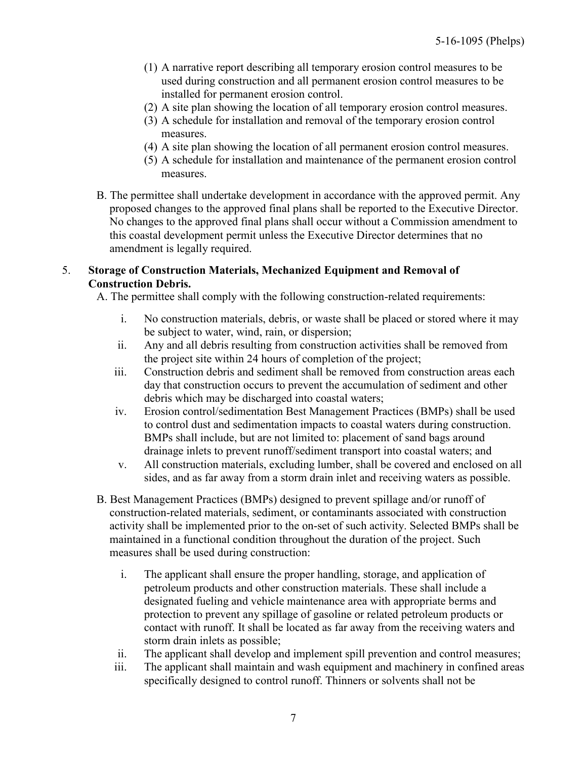- (1) A narrative report describing all temporary erosion control measures to be used during construction and all permanent erosion control measures to be installed for permanent erosion control.
- (2) A site plan showing the location of all temporary erosion control measures.
- (3) A schedule for installation and removal of the temporary erosion control measures.
- (4) A site plan showing the location of all permanent erosion control measures.
- (5) A schedule for installation and maintenance of the permanent erosion control measures.
- B. The permittee shall undertake development in accordance with the approved permit. Any proposed changes to the approved final plans shall be reported to the Executive Director. No changes to the approved final plans shall occur without a Commission amendment to this coastal development permit unless the Executive Director determines that no amendment is legally required.

#### 5. **Storage of Construction Materials, Mechanized Equipment and Removal of Construction Debris.**

A. The permittee shall comply with the following construction-related requirements:

- i. No construction materials, debris, or waste shall be placed or stored where it may be subject to water, wind, rain, or dispersion;
- ii. Any and all debris resulting from construction activities shall be removed from the project site within 24 hours of completion of the project;
- iii. Construction debris and sediment shall be removed from construction areas each day that construction occurs to prevent the accumulation of sediment and other debris which may be discharged into coastal waters;
- iv. Erosion control/sedimentation Best Management Practices (BMPs) shall be used to control dust and sedimentation impacts to coastal waters during construction. BMPs shall include, but are not limited to: placement of sand bags around drainage inlets to prevent runoff/sediment transport into coastal waters; and
- v. All construction materials, excluding lumber, shall be covered and enclosed on all sides, and as far away from a storm drain inlet and receiving waters as possible.
- B. Best Management Practices (BMPs) designed to prevent spillage and/or runoff of construction-related materials, sediment, or contaminants associated with construction activity shall be implemented prior to the on-set of such activity. Selected BMPs shall be maintained in a functional condition throughout the duration of the project. Such measures shall be used during construction:
	- i. The applicant shall ensure the proper handling, storage, and application of petroleum products and other construction materials. These shall include a designated fueling and vehicle maintenance area with appropriate berms and protection to prevent any spillage of gasoline or related petroleum products or contact with runoff. It shall be located as far away from the receiving waters and storm drain inlets as possible;
	- ii. The applicant shall develop and implement spill prevention and control measures;
	- iii. The applicant shall maintain and wash equipment and machinery in confined areas specifically designed to control runoff. Thinners or solvents shall not be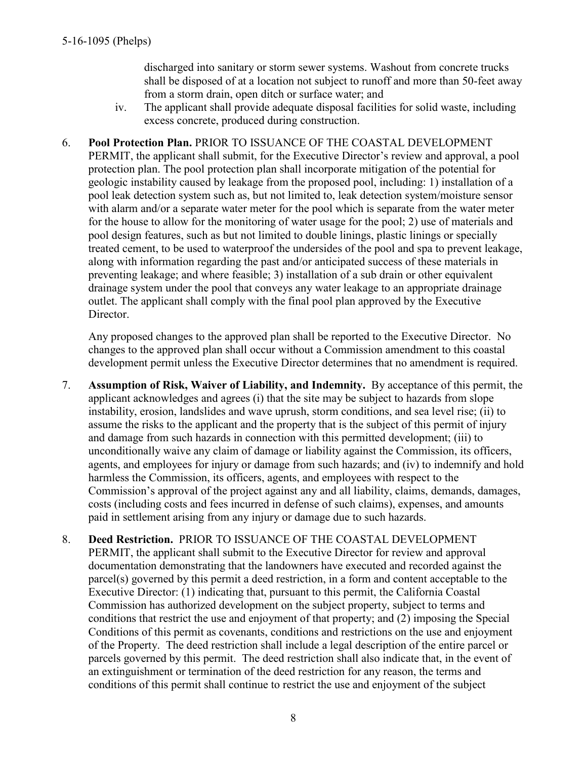discharged into sanitary or storm sewer systems. Washout from concrete trucks shall be disposed of at a location not subject to runoff and more than 50-feet away from a storm drain, open ditch or surface water; and

- iv. The applicant shall provide adequate disposal facilities for solid waste, including excess concrete, produced during construction.
- 6. **Pool Protection Plan.** PRIOR TO ISSUANCE OF THE COASTAL DEVELOPMENT PERMIT, the applicant shall submit, for the Executive Director's review and approval, a pool protection plan. The pool protection plan shall incorporate mitigation of the potential for geologic instability caused by leakage from the proposed pool, including: 1) installation of a pool leak detection system such as, but not limited to, leak detection system/moisture sensor with alarm and/or a separate water meter for the pool which is separate from the water meter for the house to allow for the monitoring of water usage for the pool; 2) use of materials and pool design features, such as but not limited to double linings, plastic linings or specially treated cement, to be used to waterproof the undersides of the pool and spa to prevent leakage, along with information regarding the past and/or anticipated success of these materials in preventing leakage; and where feasible; 3) installation of a sub drain or other equivalent drainage system under the pool that conveys any water leakage to an appropriate drainage outlet. The applicant shall comply with the final pool plan approved by the Executive Director.

Any proposed changes to the approved plan shall be reported to the Executive Director. No changes to the approved plan shall occur without a Commission amendment to this coastal development permit unless the Executive Director determines that no amendment is required.

- 7. **Assumption of Risk, Waiver of Liability, and Indemnity.** By acceptance of this permit, the applicant acknowledges and agrees (i) that the site may be subject to hazards from slope instability, erosion, landslides and wave uprush, storm conditions, and sea level rise; (ii) to assume the risks to the applicant and the property that is the subject of this permit of injury and damage from such hazards in connection with this permitted development; (iii) to unconditionally waive any claim of damage or liability against the Commission, its officers, agents, and employees for injury or damage from such hazards; and (iv) to indemnify and hold harmless the Commission, its officers, agents, and employees with respect to the Commission's approval of the project against any and all liability, claims, demands, damages, costs (including costs and fees incurred in defense of such claims), expenses, and amounts paid in settlement arising from any injury or damage due to such hazards.
- 8. **Deed Restriction.** PRIOR TO ISSUANCE OF THE COASTAL DEVELOPMENT PERMIT, the applicant shall submit to the Executive Director for review and approval documentation demonstrating that the landowners have executed and recorded against the parcel(s) governed by this permit a deed restriction, in a form and content acceptable to the Executive Director: (1) indicating that, pursuant to this permit, the California Coastal Commission has authorized development on the subject property, subject to terms and conditions that restrict the use and enjoyment of that property; and (2) imposing the Special Conditions of this permit as covenants, conditions and restrictions on the use and enjoyment of the Property. The deed restriction shall include a legal description of the entire parcel or parcels governed by this permit. The deed restriction shall also indicate that, in the event of an extinguishment or termination of the deed restriction for any reason, the terms and conditions of this permit shall continue to restrict the use and enjoyment of the subject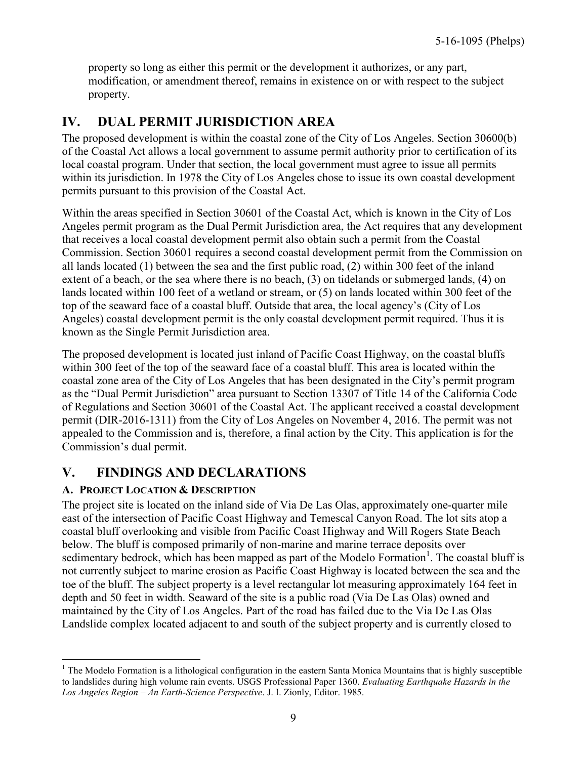property so long as either this permit or the development it authorizes, or any part, modification, or amendment thereof, remains in existence on or with respect to the subject property.

## <span id="page-8-0"></span>**IV. DUAL PERMIT JURISDICTION AREA**

The proposed development is within the coastal zone of the City of Los Angeles. Section 30600(b) of the Coastal Act allows a local government to assume permit authority prior to certification of its local coastal program. Under that section, the local government must agree to issue all permits within its jurisdiction. In 1978 the City of Los Angeles chose to issue its own coastal development permits pursuant to this provision of the Coastal Act.

Within the areas specified in Section 30601 of the Coastal Act, which is known in the City of Los Angeles permit program as the Dual Permit Jurisdiction area, the Act requires that any development that receives a local coastal development permit also obtain such a permit from the Coastal Commission. Section 30601 requires a second coastal development permit from the Commission on all lands located (1) between the sea and the first public road, (2) within 300 feet of the inland extent of a beach, or the sea where there is no beach, (3) on tidelands or submerged lands, (4) on lands located within 100 feet of a wetland or stream, or (5) on lands located within 300 feet of the top of the seaward face of a coastal bluff. Outside that area, the local agency's (City of Los Angeles) coastal development permit is the only coastal development permit required. Thus it is known as the Single Permit Jurisdiction area.

The proposed development is located just inland of Pacific Coast Highway, on the coastal bluffs within 300 feet of the top of the seaward face of a coastal bluff. This area is located within the coastal zone area of the City of Los Angeles that has been designated in the City's permit program as the "Dual Permit Jurisdiction" area pursuant to Section 13307 of Title 14 of the California Code of Regulations and Section 30601 of the Coastal Act. The applicant received a coastal development permit (DIR-2016-1311) from the City of Los Angeles on November 4, 2016. The permit was not appealed to the Commission and is, therefore, a final action by the City. This application is for the Commission's dual permit.

## <span id="page-8-1"></span>**V. FINDINGS AND DECLARATIONS**

### <span id="page-8-2"></span>**A. PROJECT LOCATION & DESCRIPTION**

The project site is located on the inland side of Via De Las Olas, approximately one-quarter mile east of the intersection of Pacific Coast Highway and Temescal Canyon Road. The lot sits atop a coastal bluff overlooking and visible from Pacific Coast Highway and Will Rogers State Beach below. The bluff is composed primarily of non-marine and marine terrace deposits over sedimentary bedrock, which has been mapped as part of the Modelo Formation<sup>1</sup>. The coastal bluff is not currently subject to marine erosion as Pacific Coast Highway is located between the sea and the toe of the bluff. The subject property is a level rectangular lot measuring approximately 164 feet in depth and 50 feet in width. Seaward of the site is a public road (Via De Las Olas) owned and maintained by the City of Los Angeles. Part of the road has failed due to the Via De Las Olas Landslide complex located adjacent to and south of the subject property and is currently closed to

 $\overline{a}$ <sup>1</sup> The Modelo Formation is a lithological configuration in the eastern Santa Monica Mountains that is highly susceptible to landslides during high volume rain events. USGS Professional Paper 1360. *Evaluating Earthquake Hazards in the Los Angeles Region – An Earth-Science Perspective*. J. I. Zionly, Editor. 1985.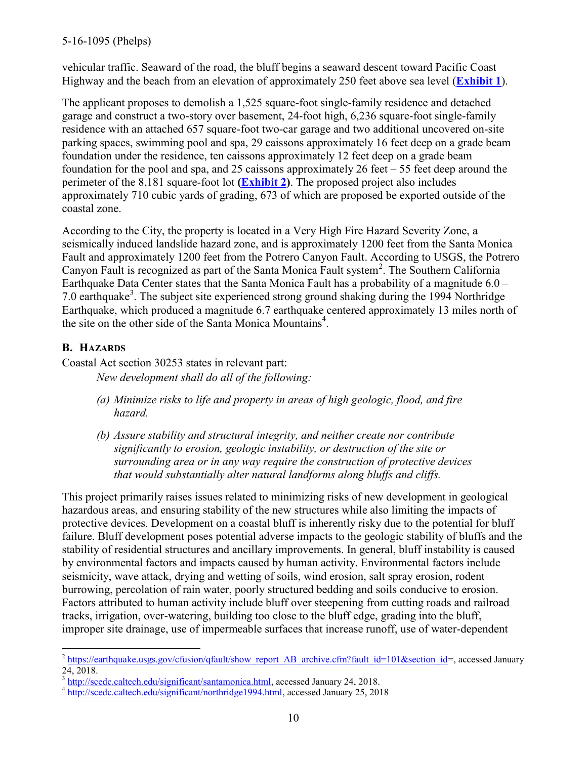### 5-16-1095 (Phelps)

vehicular traffic. Seaward of the road, the bluff begins a seaward descent toward Pacific Coast Highway and the beach from an elevation of approximately 250 feet above sea level (**[Exhibit 1](https://documents.coastal.ca.gov/reports/2018/2/F14a/F14a-2-2018-exhibits.pdf)**).

The applicant proposes to demolish a 1,525 square-foot single-family residence and detached garage and construct a two-story over basement, 24-foot high, 6,236 square-foot single-family residence with an attached 657 square-foot two-car garage and two additional uncovered on-site parking spaces, swimming pool and spa, 29 caissons approximately 16 feet deep on a grade beam foundation under the residence, ten caissons approximately 12 feet deep on a grade beam foundation for the pool and spa, and 25 caissons approximately 26 feet – 55 feet deep around the perimeter of the 8,181 square-foot lot **[\(Exhibit 2\)](https://documents.coastal.ca.gov/reports/2018/2/F14a/F14a-2-2018-exhibits.pdf)**. The proposed project also includes approximately 710 cubic yards of grading, 673 of which are proposed be exported outside of the coastal zone.

According to the City, the property is located in a Very High Fire Hazard Severity Zone, a seismically induced landslide hazard zone, and is approximately 1200 feet from the Santa Monica Fault and approximately 1200 feet from the Potrero Canyon Fault. According to USGS, the Potrero Canyon Fault is recognized as part of the Santa Monica Fault system<sup>2</sup>. The Southern California Earthquake Data Center states that the Santa Monica Fault has a probability of a magnitude 6.0 – 7.0 earthquake<sup>3</sup>. The subject site experienced strong ground shaking during the 1994 Northridge Earthquake, which produced a magnitude 6.7 earthquake centered approximately 13 miles north of the site on the other side of the Santa Monica Mountains<sup>4</sup>.

### <span id="page-9-0"></span>**B. HAZARDS**

Coastal Act section 30253 states in relevant part: *New development shall do all of the following:* 

- *(a) Minimize risks to life and property in areas of high geologic, flood, and fire hazard.*
- *(b) Assure stability and structural integrity, and neither create nor contribute significantly to erosion, geologic instability, or destruction of the site or surrounding area or in any way require the construction of protective devices that would substantially alter natural landforms along bluffs and cliffs.*

This project primarily raises issues related to minimizing risks of new development in geological hazardous areas, and ensuring stability of the new structures while also limiting the impacts of protective devices. Development on a coastal bluff is inherently risky due to the potential for bluff failure. Bluff development poses potential adverse impacts to the geologic stability of bluffs and the stability of residential structures and ancillary improvements. In general, bluff instability is caused by environmental factors and impacts caused by human activity. Environmental factors include seismicity, wave attack, drying and wetting of soils, wind erosion, salt spray erosion, rodent burrowing, percolation of rain water, poorly structured bedding and soils conducive to erosion. Factors attributed to human activity include bluff over steepening from cutting roads and railroad tracks, irrigation, over-watering, building too close to the bluff edge, grading into the bluff, improper site drainage, use of impermeable surfaces that increase runoff, use of water-dependent

<sup>&</sup>lt;sup>2</sup> [https://earthquake.usgs.gov/cfusion/qfault/show\\_report\\_AB\\_archive.cfm?fault\\_id=101&section\\_id=](https://earthquake.usgs.gov/cfusion/qfault/show_report_AB_archive.cfm?fault_id=101§ion_id), accessed January 24, 2018.

<sup>&</sup>lt;sup>3</sup> [http://scedc.caltech.edu/significant/santamonica.html,](http://scedc.caltech.edu/significant/santamonica.html) accessed January 24, 2018.

<sup>&</sup>lt;sup>4</sup> [http://scedc.caltech.edu/significant/northridge1994.html,](http://scedc.caltech.edu/significant/northridge1994.html) accessed January 25, 2018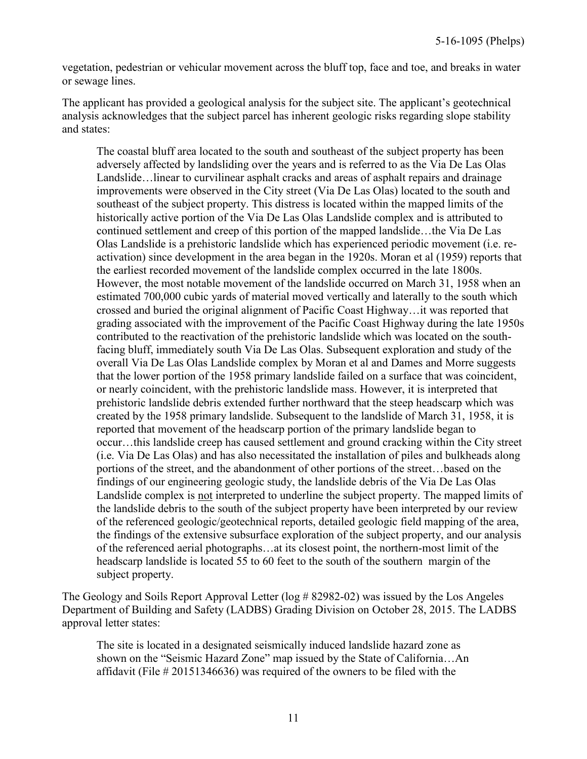vegetation, pedestrian or vehicular movement across the bluff top, face and toe, and breaks in water or sewage lines.

The applicant has provided a geological analysis for the subject site. The applicant's geotechnical analysis acknowledges that the subject parcel has inherent geologic risks regarding slope stability and states:

The coastal bluff area located to the south and southeast of the subject property has been adversely affected by landsliding over the years and is referred to as the Via De Las Olas Landslide…linear to curvilinear asphalt cracks and areas of asphalt repairs and drainage improvements were observed in the City street (Via De Las Olas) located to the south and southeast of the subject property. This distress is located within the mapped limits of the historically active portion of the Via De Las Olas Landslide complex and is attributed to continued settlement and creep of this portion of the mapped landslide…the Via De Las Olas Landslide is a prehistoric landslide which has experienced periodic movement (i.e. reactivation) since development in the area began in the 1920s. Moran et al (1959) reports that the earliest recorded movement of the landslide complex occurred in the late 1800s. However, the most notable movement of the landslide occurred on March 31, 1958 when an estimated 700,000 cubic yards of material moved vertically and laterally to the south which crossed and buried the original alignment of Pacific Coast Highway…it was reported that grading associated with the improvement of the Pacific Coast Highway during the late 1950s contributed to the reactivation of the prehistoric landslide which was located on the southfacing bluff, immediately south Via De Las Olas. Subsequent exploration and study of the overall Via De Las Olas Landslide complex by Moran et al and Dames and Morre suggests that the lower portion of the 1958 primary landslide failed on a surface that was coincident, or nearly coincident, with the prehistoric landslide mass. However, it is interpreted that prehistoric landslide debris extended further northward that the steep headscarp which was created by the 1958 primary landslide. Subsequent to the landslide of March 31, 1958, it is reported that movement of the headscarp portion of the primary landslide began to occur…this landslide creep has caused settlement and ground cracking within the City street (i.e. Via De Las Olas) and has also necessitated the installation of piles and bulkheads along portions of the street, and the abandonment of other portions of the street…based on the findings of our engineering geologic study, the landslide debris of the Via De Las Olas Landslide complex is not interpreted to underline the subject property. The mapped limits of the landslide debris to the south of the subject property have been interpreted by our review of the referenced geologic/geotechnical reports, detailed geologic field mapping of the area, the findings of the extensive subsurface exploration of the subject property, and our analysis of the referenced aerial photographs…at its closest point, the northern-most limit of the headscarp landslide is located 55 to 60 feet to the south of the southern margin of the subject property.

The Geology and Soils Report Approval Letter (log # 82982-02) was issued by the Los Angeles Department of Building and Safety (LADBS) Grading Division on October 28, 2015. The LADBS approval letter states:

The site is located in a designated seismically induced landslide hazard zone as shown on the "Seismic Hazard Zone" map issued by the State of California…An affidavit (File # 20151346636) was required of the owners to be filed with the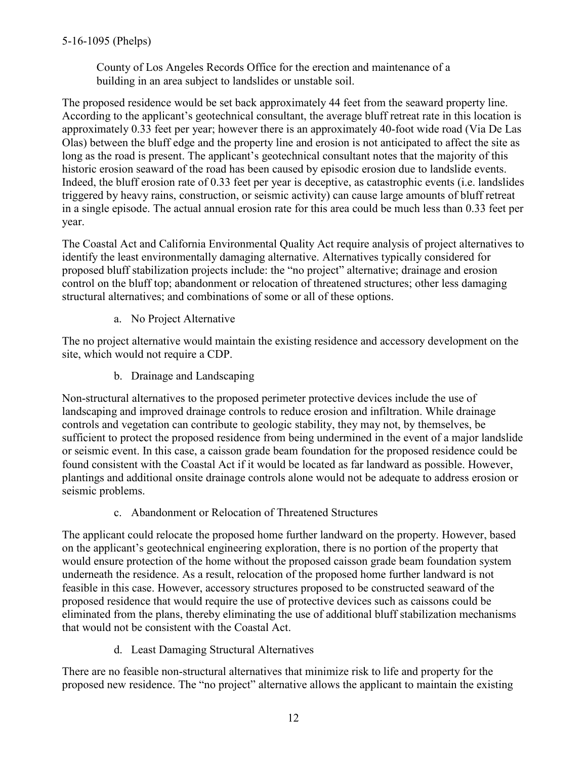County of Los Angeles Records Office for the erection and maintenance of a building in an area subject to landslides or unstable soil.

The proposed residence would be set back approximately 44 feet from the seaward property line. According to the applicant's geotechnical consultant, the average bluff retreat rate in this location is approximately 0.33 feet per year; however there is an approximately 40-foot wide road (Via De Las Olas) between the bluff edge and the property line and erosion is not anticipated to affect the site as long as the road is present. The applicant's geotechnical consultant notes that the majority of this historic erosion seaward of the road has been caused by episodic erosion due to landslide events. Indeed, the bluff erosion rate of 0.33 feet per year is deceptive, as catastrophic events (i.e. landslides triggered by heavy rains, construction, or seismic activity) can cause large amounts of bluff retreat in a single episode. The actual annual erosion rate for this area could be much less than 0.33 feet per year.

The Coastal Act and California Environmental Quality Act require analysis of project alternatives to identify the least environmentally damaging alternative. Alternatives typically considered for proposed bluff stabilization projects include: the "no project" alternative; drainage and erosion control on the bluff top; abandonment or relocation of threatened structures; other less damaging structural alternatives; and combinations of some or all of these options.

a. No Project Alternative

The no project alternative would maintain the existing residence and accessory development on the site, which would not require a CDP.

b. Drainage and Landscaping

Non-structural alternatives to the proposed perimeter protective devices include the use of landscaping and improved drainage controls to reduce erosion and infiltration. While drainage controls and vegetation can contribute to geologic stability, they may not, by themselves, be sufficient to protect the proposed residence from being undermined in the event of a major landslide or seismic event. In this case, a caisson grade beam foundation for the proposed residence could be found consistent with the Coastal Act if it would be located as far landward as possible. However, plantings and additional onsite drainage controls alone would not be adequate to address erosion or seismic problems.

c. Abandonment or Relocation of Threatened Structures

The applicant could relocate the proposed home further landward on the property. However, based on the applicant's geotechnical engineering exploration, there is no portion of the property that would ensure protection of the home without the proposed caisson grade beam foundation system underneath the residence. As a result, relocation of the proposed home further landward is not feasible in this case. However, accessory structures proposed to be constructed seaward of the proposed residence that would require the use of protective devices such as caissons could be eliminated from the plans, thereby eliminating the use of additional bluff stabilization mechanisms that would not be consistent with the Coastal Act.

d. Least Damaging Structural Alternatives

There are no feasible non-structural alternatives that minimize risk to life and property for the proposed new residence. The "no project" alternative allows the applicant to maintain the existing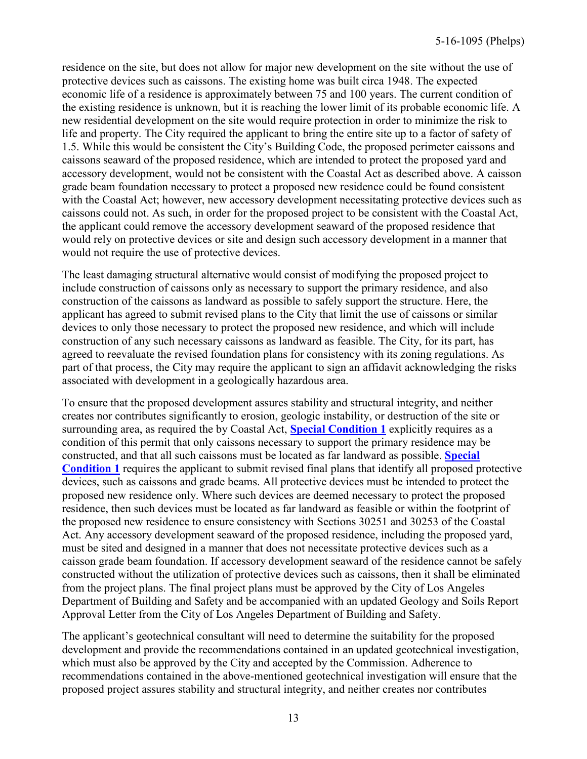residence on the site, but does not allow for major new development on the site without the use of protective devices such as caissons. The existing home was built circa 1948. The expected economic life of a residence is approximately between 75 and 100 years. The current condition of the existing residence is unknown, but it is reaching the lower limit of its probable economic life. A new residential development on the site would require protection in order to minimize the risk to life and property. The City required the applicant to bring the entire site up to a factor of safety of 1.5. While this would be consistent the City's Building Code, the proposed perimeter caissons and caissons seaward of the proposed residence, which are intended to protect the proposed yard and accessory development, would not be consistent with the Coastal Act as described above. A caisson grade beam foundation necessary to protect a proposed new residence could be found consistent with the Coastal Act; however, new accessory development necessitating protective devices such as caissons could not. As such, in order for the proposed project to be consistent with the Coastal Act, the applicant could remove the accessory development seaward of the proposed residence that would rely on protective devices or site and design such accessory development in a manner that would not require the use of protective devices.

The least damaging structural alternative would consist of modifying the proposed project to include construction of caissons only as necessary to support the primary residence, and also construction of the caissons as landward as possible to safely support the structure. Here, the applicant has agreed to submit revised plans to the City that limit the use of caissons or similar devices to only those necessary to protect the proposed new residence, and which will include construction of any such necessary caissons as landward as feasible. The City, for its part, has agreed to reevaluate the revised foundation plans for consistency with its zoning regulations. As part of that process, the City may require the applicant to sign an affidavit acknowledging the risks associated with development in a geologically hazardous area.

To ensure that the proposed development assures stability and structural integrity, and neither creates nor contributes significantly to erosion, geologic instability, or destruction of the site or surrounding area, as required the by Coastal Act, **[Special Condition 1](#page-4-0)** explicitly requires as a condition of this permit that only caissons necessary to support the primary residence may be constructed, and that all such caissons must be located as far landward as possible. **[Special](#page-4-0)  [Condition 1](#page-4-0)** requires the applicant to submit revised final plans that identify all proposed protective devices, such as caissons and grade beams. All protective devices must be intended to protect the proposed new residence only. Where such devices are deemed necessary to protect the proposed residence, then such devices must be located as far landward as feasible or within the footprint of the proposed new residence to ensure consistency with Sections 30251 and 30253 of the Coastal Act. Any accessory development seaward of the proposed residence, including the proposed yard, must be sited and designed in a manner that does not necessitate protective devices such as a caisson grade beam foundation. If accessory development seaward of the residence cannot be safely constructed without the utilization of protective devices such as caissons, then it shall be eliminated from the project plans. The final project plans must be approved by the City of Los Angeles Department of Building and Safety and be accompanied with an updated Geology and Soils Report Approval Letter from the City of Los Angeles Department of Building and Safety.

The applicant's geotechnical consultant will need to determine the suitability for the proposed development and provide the recommendations contained in an updated geotechnical investigation, which must also be approved by the City and accepted by the Commission. Adherence to recommendations contained in the above-mentioned geotechnical investigation will ensure that the proposed project assures stability and structural integrity, and neither creates nor contributes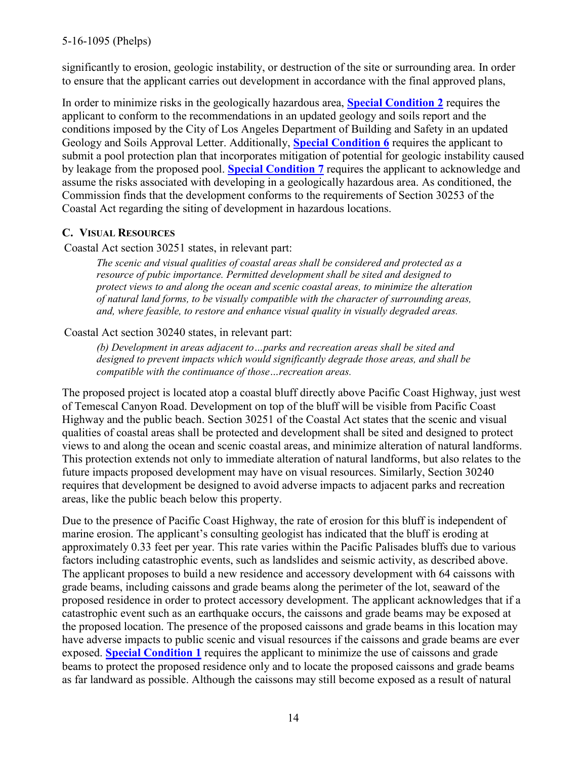significantly to erosion, geologic instability, or destruction of the site or surrounding area. In order to ensure that the applicant carries out development in accordance with the final approved plans,

In order to minimize risks in the geologically hazardous area, **[Special Condition 2](#page-4-0)** requires the applicant to conform to the recommendations in an updated geology and soils report and the conditions imposed by the City of Los Angeles Department of Building and Safety in an updated Geology and Soils Approval Letter. Additionally, **[Special Condition 6](#page-4-0)** requires the applicant to submit a pool protection plan that incorporates mitigation of potential for geologic instability caused by leakage from the proposed pool. **[Special Condition 7](#page-4-0)** requires the applicant to acknowledge and assume the risks associated with developing in a geologically hazardous area. As conditioned, the Commission finds that the development conforms to the requirements of Section 30253 of the Coastal Act regarding the siting of development in hazardous locations.

### <span id="page-13-0"></span>**C. VISUAL RESOURCES**

Coastal Act section 30251 states, in relevant part:

*The scenic and visual qualities of coastal areas shall be considered and protected as a resource of pubic importance. Permitted development shall be sited and designed to protect views to and along the ocean and scenic coastal areas, to minimize the alteration of natural land forms, to be visually compatible with the character of surrounding areas, and, where feasible, to restore and enhance visual quality in visually degraded areas.* 

### Coastal Act section 30240 states, in relevant part:

*(b) Development in areas adjacent to…parks and recreation areas shall be sited and designed to prevent impacts which would significantly degrade those areas, and shall be compatible with the continuance of those…recreation areas.* 

The proposed project is located atop a coastal bluff directly above Pacific Coast Highway, just west of Temescal Canyon Road. Development on top of the bluff will be visible from Pacific Coast Highway and the public beach. Section 30251 of the Coastal Act states that the scenic and visual qualities of coastal areas shall be protected and development shall be sited and designed to protect views to and along the ocean and scenic coastal areas, and minimize alteration of natural landforms. This protection extends not only to immediate alteration of natural landforms, but also relates to the future impacts proposed development may have on visual resources. Similarly, Section 30240 requires that development be designed to avoid adverse impacts to adjacent parks and recreation areas, like the public beach below this property.

Due to the presence of Pacific Coast Highway, the rate of erosion for this bluff is independent of marine erosion. The applicant's consulting geologist has indicated that the bluff is eroding at approximately 0.33 feet per year. This rate varies within the Pacific Palisades bluffs due to various factors including catastrophic events, such as landslides and seismic activity, as described above. The applicant proposes to build a new residence and accessory development with 64 caissons with grade beams, including caissons and grade beams along the perimeter of the lot, seaward of the proposed residence in order to protect accessory development. The applicant acknowledges that if a catastrophic event such as an earthquake occurs, the caissons and grade beams may be exposed at the proposed location. The presence of the proposed caissons and grade beams in this location may have adverse impacts to public scenic and visual resources if the caissons and grade beams are ever exposed. **[Special Condition 1](#page-4-0)** requires the applicant to minimize the use of caissons and grade beams to protect the proposed residence only and to locate the proposed caissons and grade beams as far landward as possible. Although the caissons may still become exposed as a result of natural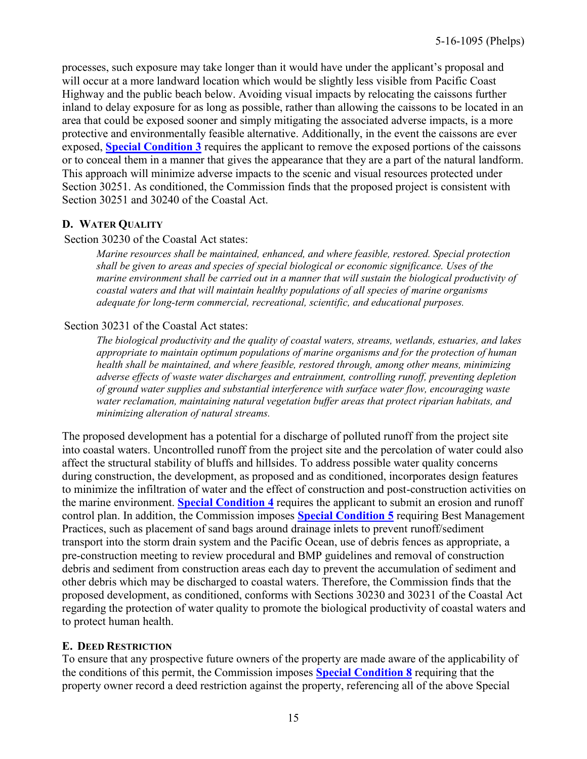processes, such exposure may take longer than it would have under the applicant's proposal and will occur at a more landward location which would be slightly less visible from Pacific Coast Highway and the public beach below. Avoiding visual impacts by relocating the caissons further inland to delay exposure for as long as possible, rather than allowing the caissons to be located in an area that could be exposed sooner and simply mitigating the associated adverse impacts, is a more protective and environmentally feasible alternative. Additionally, in the event the caissons are ever exposed, **[Special Condition 3](#page-4-0)** requires the applicant to remove the exposed portions of the caissons or to conceal them in a manner that gives the appearance that they are a part of the natural landform. This approach will minimize adverse impacts to the scenic and visual resources protected under Section 30251. As conditioned, the Commission finds that the proposed project is consistent with Section 30251 and 30240 of the Coastal Act.

### <span id="page-14-0"></span>**D. WATER QUALITY**

### Section 30230 of the Coastal Act states:

*Marine resources shall be maintained, enhanced, and where feasible, restored. Special protection shall be given to areas and species of special biological or economic significance. Uses of the marine environment shall be carried out in a manner that will sustain the biological productivity of coastal waters and that will maintain healthy populations of all species of marine organisms adequate for long-term commercial, recreational, scientific, and educational purposes.* 

### Section 30231 of the Coastal Act states:

*The biological productivity and the quality of coastal waters, streams, wetlands, estuaries, and lakes appropriate to maintain optimum populations of marine organisms and for the protection of human health shall be maintained, and where feasible, restored through, among other means, minimizing adverse effects of waste water discharges and entrainment, controlling runoff, preventing depletion of ground water supplies and substantial interference with surface water flow, encouraging waste water reclamation, maintaining natural vegetation buffer areas that protect riparian habitats, and minimizing alteration of natural streams.* 

The proposed development has a potential for a discharge of polluted runoff from the project site into coastal waters. Uncontrolled runoff from the project site and the percolation of water could also affect the structural stability of bluffs and hillsides. To address possible water quality concerns during construction, the development, as proposed and as conditioned, incorporates design features to minimize the infiltration of water and the effect of construction and post-construction activities on the marine environment. **[Special Condition 4](#page-4-0)** requires the applicant to submit an erosion and runoff control plan. In addition, the Commission imposes **[Special Condition 5](#page-4-0)** requiring Best Management Practices, such as placement of sand bags around drainage inlets to prevent runoff/sediment transport into the storm drain system and the Pacific Ocean, use of debris fences as appropriate, a pre-construction meeting to review procedural and BMP guidelines and removal of construction debris and sediment from construction areas each day to prevent the accumulation of sediment and other debris which may be discharged to coastal waters. Therefore, the Commission finds that the proposed development, as conditioned, conforms with Sections 30230 and 30231 of the Coastal Act regarding the protection of water quality to promote the biological productivity of coastal waters and to protect human health.

### <span id="page-14-1"></span>**E. DEED RESTRICTION**

To ensure that any prospective future owners of the property are made aware of the applicability of the conditions of this permit, the Commission imposes **[Special Condition 8](#page-4-0)** requiring that the property owner record a deed restriction against the property, referencing all of the above Special